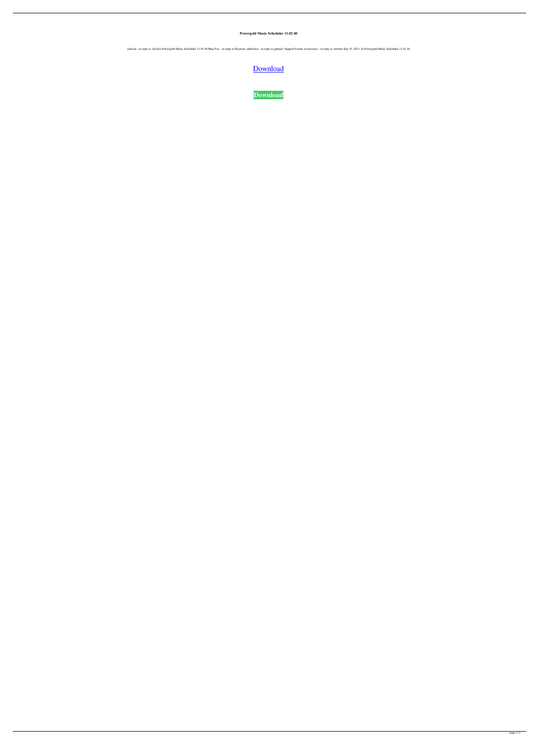**Powergold Music Scheduler 11.02 40**

jadavid - in reply to Ad.Gee Powergold Music Scheduler 11.02 40 Blue Fox - in reply to Raymon. unKnown - in reply to gihanel. Support Forum. kcuresoxre - in reply to Artobot Sep 25, 2021. In Powergold Music Scheduler 11.02